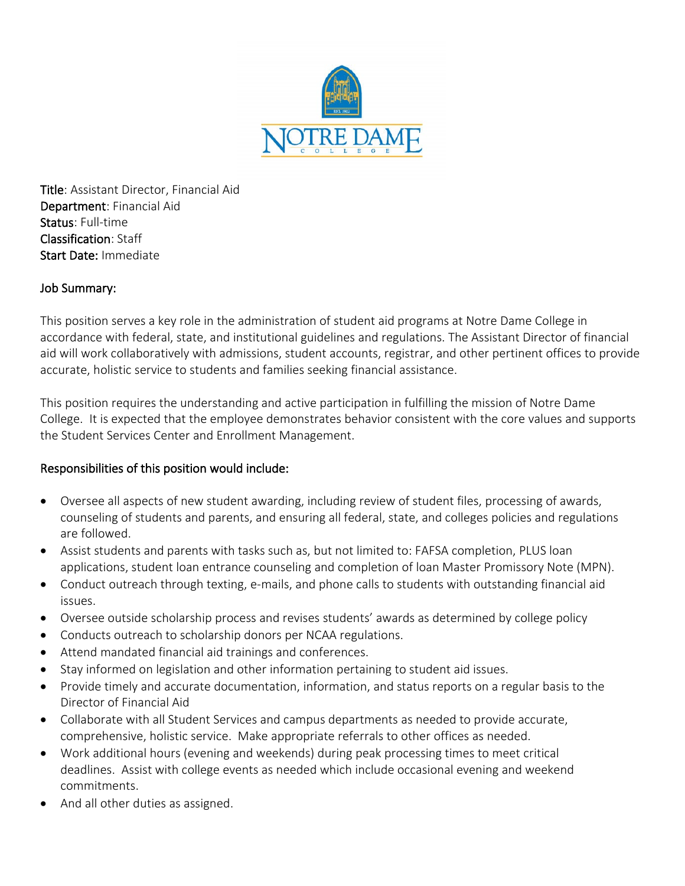

Title: Assistant Director, Financial Aid Department: Financial Aid Status: Full-time Classification: Staff Start Date: Immediate

#### Job Summary:

This position serves a key role in the administration of student aid programs at Notre Dame College in accordance with federal, state, and institutional guidelines and regulations. The Assistant Director of financial aid will work collaboratively with admissions, student accounts, registrar, and other pertinent offices to provide accurate, holistic service to students and families seeking financial assistance.

This position requires the understanding and active participation in fulfilling the mission of Notre Dame College. It is expected that the employee demonstrates behavior consistent with the core values and supports the Student Services Center and Enrollment Management.

#### Responsibilities of this position would include:

- Oversee all aspects of new student awarding, including review of student files, processing of awards, counseling of students and parents, and ensuring all federal, state, and colleges policies and regulations are followed.
- Assist students and parents with tasks such as, but not limited to: FAFSA completion, PLUS loan applications, student loan entrance counseling and completion of loan Master Promissory Note (MPN).
- Conduct outreach through texting, e-mails, and phone calls to students with outstanding financial aid issues.
- Oversee outside scholarship process and revises students' awards as determined by college policy
- Conducts outreach to scholarship donors per NCAA regulations.
- Attend mandated financial aid trainings and conferences.
- Stay informed on legislation and other information pertaining to student aid issues.
- Provide timely and accurate documentation, information, and status reports on a regular basis to the Director of Financial Aid
- Collaborate with all Student Services and campus departments as needed to provide accurate, comprehensive, holistic service. Make appropriate referrals to other offices as needed.
- Work additional hours (evening and weekends) during peak processing times to meet critical deadlines. Assist with college events as needed which include occasional evening and weekend commitments.
- And all other duties as assigned.